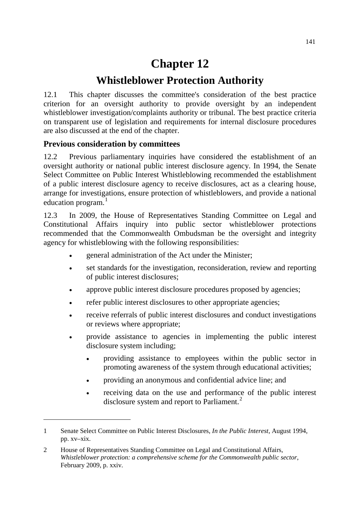# **Chapter 12**

## **Whistleblower Protection Authority**

12.1 This chapter discusses the committee's consideration of the best practice criterion for an oversight authority to provide oversight by an independent whistleblower investigation/complaints authority or tribunal. The best practice criteria on transparent use of legislation and requirements for internal disclosure procedures are also discussed at the end of the chapter.

## **Previous consideration by committees**

-

12.2 Previous parliamentary inquiries have considered the establishment of an oversight authority or national public interest disclosure agency. In 1994, the Senate Select Committee on Public Interest Whistleblowing recommended the establishment of a public interest disclosure agency to receive disclosures, act as a clearing house, arrange for investigations, ensure protection of whistleblowers, and provide a national education program. $<sup>1</sup>$  $<sup>1</sup>$  $<sup>1</sup>$ </sup>

12.3 In 2009, the House of Representatives Standing Committee on Legal and Constitutional Affairs inquiry into public sector whistleblower protections recommended that the Commonwealth Ombudsman be the oversight and integrity agency for whistleblowing with the following responsibilities:

- general administration of the Act under the Minister;
- set standards for the investigation, reconsideration, review and reporting of public interest disclosures;
- approve public interest disclosure procedures proposed by agencies;
- refer public interest disclosures to other appropriate agencies;
- receive referrals of public interest disclosures and conduct investigations or reviews where appropriate;
- provide assistance to agencies in implementing the public interest disclosure system including;
	- providing assistance to employees within the public sector in promoting awareness of the system through educational activities;
	- providing an anonymous and confidential advice line; and
	- receiving data on the use and performance of the public interest disclosure system and report to Parliament.<sup>[2](#page-0-1)</sup>

<span id="page-0-0"></span><sup>1</sup> Senate Select Committee on Public Interest Disclosures, *In the Public Interest*, August 1994, pp. xv–xix.

<span id="page-0-1"></span><sup>2</sup> House of Representatives Standing Committee on Legal and Constitutional Affairs, *Whistleblower protection: a comprehensive scheme for the Commonwealth public sector*, February 2009, p. xxiv.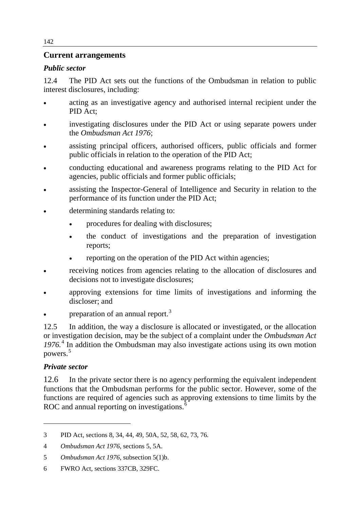## **Current arrangements**

## *Public sector*

12.4 The PID Act sets out the functions of the Ombudsman in relation to public interest disclosures, including:

- acting as an investigative agency and authorised internal recipient under the PID Act;
- investigating disclosures under the PID Act or using separate powers under the *Ombudsman Act 1976*;
- assisting principal officers, authorised officers, public officials and former public officials in relation to the operation of the PID Act;
- conducting educational and awareness programs relating to the PID Act for agencies, public officials and former public officials;
- assisting the Inspector-General of Intelligence and Security in relation to the performance of its function under the PID Act;
- determining standards relating to:
	- procedures for dealing with disclosures;
	- the conduct of investigations and the preparation of investigation reports;
	- reporting on the operation of the PID Act within agencies;
- receiving notices from agencies relating to the allocation of disclosures and decisions not to investigate disclosures;
- approving extensions for time limits of investigations and informing the discloser; and
- preparation of an annual report.<sup>[3](#page-1-0)</sup>

12.5 In addition, the way a disclosure is allocated or investigated, or the allocation or investigation decision, may be the subject of a complaint under the *Ombudsman Act 1976.*[4](#page-1-1) In addition the Ombudsman may also investigate actions using its own motion powers.[5](#page-1-2)

## *Private sector*

-

12.6 In the private sector there is no agency performing the equivalent independent functions that the Ombudsman performs for the public sector. However, some of the functions are required of agencies such as approving extensions to time limits by the ROC and annual reporting on investigations. $\delta$ 

<span id="page-1-0"></span><sup>3</sup> PID Act, sections 8, 34, 44, 49, 50A, 52, 58, 62, 73, 76.

<span id="page-1-1"></span><sup>4</sup> *Ombudsman Act 1976*, sections 5, 5A.

<span id="page-1-2"></span><sup>5</sup> *Ombudsman Act 1976*, subsection 5(1)b.

<span id="page-1-3"></span><sup>6</sup> FWRO Act, sections 337CB, 329FC.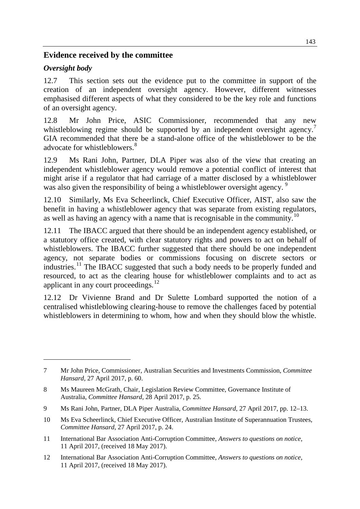## **Evidence received by the committee**

### *Oversight body*

-

12.7 This section sets out the evidence put to the committee in support of the creation of an independent oversight agency. However, different witnesses emphasised different aspects of what they considered to be the key role and functions of an oversight agency.

12.8 Mr John Price, ASIC Commissioner, recommended that any new whistleblowing regime should be supported by an independent oversight agency.<sup>[7](#page-2-0)</sup> GIA recommended that there be a stand-alone office of the whistleblower to be the advocate for whistleblowers.<sup>[8](#page-2-1)</sup>

12.9 Ms Rani John, Partner, DLA Piper was also of the view that creating an independent whistleblower agency would remove a potential conflict of interest that might arise if a regulator that had carriage of a matter disclosed by a whistleblower was also given the responsibility of being a whistleblower oversight agency.<sup>[9](#page-2-2)</sup>

12.10 Similarly, Ms Eva Scheerlinck, Chief Executive Officer, AIST, also saw the benefit in having a whistleblower agency that was separate from existing regulators, as well as having an agency with a name that is recognisable in the community.<sup>[10](#page-2-3)</sup>

12.11 The IBACC argued that there should be an independent agency established, or a statutory office created, with clear statutory rights and powers to act on behalf of whistleblowers. The IBACC further suggested that there should be one independent agency, not separate bodies or commissions focusing on discrete sectors or industries.<sup>[11](#page-2-4)</sup> The IBACC suggested that such a body needs to be properly funded and resourced, to act as the clearing house for whistleblower complaints and to act as applicant in any court proceedings. $12$ 

12.12 Dr Vivienne Brand and Dr Sulette Lombard supported the notion of a centralised whistleblowing clearing-house to remove the challenges faced by potential whistleblowers in determining to whom, how and when they should blow the whistle.

<span id="page-2-0"></span><sup>7</sup> Mr John Price, Commissioner, Australian Securities and Investments Commission, *Committee Hansard*, 27 April 2017, p. 60.

<span id="page-2-1"></span><sup>8</sup> Ms Maureen McGrath, Chair, Legislation Review Committee, Governance Institute of Australia, *Committee Hansard*, 28 April 2017, p. 25.

<span id="page-2-2"></span><sup>9</sup> Ms Rani John, Partner, DLA Piper Australia, *Committee Hansard*, 27 April 2017, pp. 12–13.

<span id="page-2-3"></span><sup>10</sup> Ms Eva Scheerlinck, Chief Executive Officer, Australian Institute of Superannuation Trustees, *Committee Hansard*, 27 April 2017, p. 24.

<span id="page-2-4"></span><sup>11</sup> International Bar Association Anti-Corruption Committee, *Answers to questions on notice,*  11 April 2017, (received 18 May 2017).

<span id="page-2-5"></span><sup>12</sup> International Bar Association Anti-Corruption Committee, *Answers to questions on notice,*  11 April 2017, (received 18 May 2017).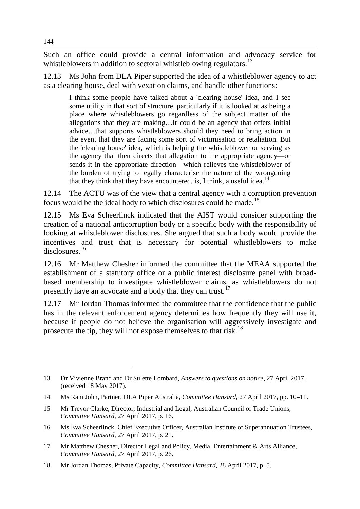Such an office could provide a central information and advocacy service for whistleblowers in addition to sectoral whistleblowing regulators.<sup>[13](#page-3-0)</sup>

12.13 Ms John from DLA Piper supported the idea of a whistleblower agency to act as a clearing house, deal with vexation claims, and handle other functions:

I think some people have talked about a 'clearing house' idea, and I see some utility in that sort of structure, particularly if it is looked at as being a place where whistleblowers go regardless of the subject matter of the allegations that they are making…It could be an agency that offers initial advice…that supports whistleblowers should they need to bring action in the event that they are facing some sort of victimisation or retaliation. But the 'clearing house' idea, which is helping the whistleblower or serving as the agency that then directs that allegation to the appropriate agency—or sends it in the appropriate direction—which relieves the whistleblower of the burden of trying to legally characterise the nature of the wrongdoing that they think that they have encountered, is, I think, a useful idea.<sup>[14](#page-3-1)</sup>

12.14 The ACTU was of the view that a central agency with a corruption prevention focus would be the ideal body to which disclosures could be made.[15](#page-3-2)

12.15 Ms Eva Scheerlinck indicated that the AIST would consider supporting the creation of a national anticorruption body or a specific body with the responsibility of looking at whistleblower disclosures. She argued that such a body would provide the incentives and trust that is necessary for potential whistleblowers to make disclosures.<sup>[16](#page-3-3)</sup>

12.16 Mr Matthew Chesher informed the committee that the MEAA supported the establishment of a statutory office or a public interest disclosure panel with broadbased membership to investigate whistleblower claims, as whistleblowers do not presently have an advocate and a body that they can trust.<sup>[17](#page-3-4)</sup>

12.17 Mr Jordan Thomas informed the committee that the confidence that the public has in the relevant enforcement agency determines how frequently they will use it, because if people do not believe the organisation will aggressively investigate and prosecute the tip, they will not expose themselves to that risk.<sup>[18](#page-3-5)</sup>

<span id="page-3-0"></span><sup>13</sup> Dr Vivienne Brand and Dr Sulette Lombard, *Answers to questions on notice*, 27 April 2017, (received 18 May 2017).

<span id="page-3-1"></span><sup>14</sup> Ms Rani John, Partner, DLA Piper Australia, *Committee Hansard,* 27 April 2017, pp. 10–11.

<span id="page-3-2"></span><sup>15</sup> Mr Trevor Clarke, Director, Industrial and Legal, Australian Council of Trade Unions, *Committee Hansard*, 27 April 2017, p. 16.

<span id="page-3-3"></span><sup>16</sup> Ms Eva Scheerlinck, Chief Executive Officer, Australian Institute of Superannuation Trustees, *Committee Hansard*, 27 April 2017, p. 21.

<span id="page-3-4"></span><sup>17</sup> Mr Matthew Chesher, Director Legal and Policy, Media, Entertainment & Arts Alliance, *Committee Hansard*, 27 April 2017, p. 26.

<span id="page-3-5"></span><sup>18</sup> Mr Jordan Thomas, Private Capacity, *Committee Hansard,* 28 April 2017, p. 5.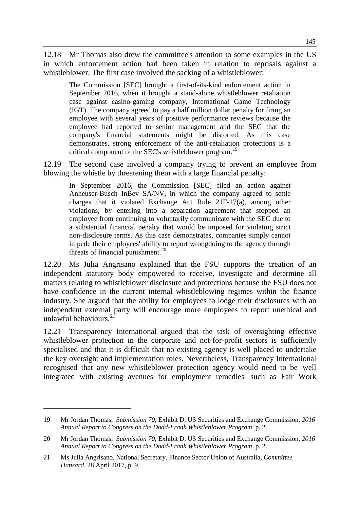12.18 Mr Thomas also drew the committee's attention to some examples in the US in which enforcement action had been taken in relation to reprisals against a whistleblower. The first case involved the sacking of a whistleblower:

The Commission [SEC] brought a first-of-its-kind enforcement action in September 2016, when it brought a stand-alone whistleblower retaliation case against casino-gaming company, International Game Technology (IGT). The company agreed to pay a half million dollar penalty for firing an employee with several years of positive performance reviews because the employee had reported to senior management and the SEC that the company's financial statements might be distorted. As this case demonstrates, strong enforcement of the anti-retaliation protections is a critical component of the SEC's whistleblower program.<sup>[19](#page-4-0)</sup>

12.19 The second case involved a company trying to prevent an employee from blowing the whistle by threatening them with a large financial penalty:

In September 2016, the Commission [SEC] filed an action against Anheuser-Busch InBev SA/NV, in which the company agreed to settle charges that it violated Exchange Act Rule 21F-17(a), among other violations, by entering into a separation agreement that stopped an employee from continuing to voluntarily communicate with the SEC due to a substantial financial penalty that would be imposed for violating strict non-disclosure terms. As this case demonstrates, companies simply cannot impede their employees' ability to report wrongdoing to the agency through threats of financial punishment. $^{20}$  $^{20}$  $^{20}$ 

12.20 Ms Julia Angrisano explained that the FSU supports the creation of an independent statutory body empowered to receive, investigate and determine all matters relating to whistleblower disclosure and protections because the FSU does not have confidence in the current internal whistleblowing regimes within the finance industry. She argued that the ability for employees to lodge their disclosures with an independent external party will encourage more employees to report unethical and unlawful behaviours. $<sup>2</sup>$ </sup>

12.21 Transparency International argued that the task of oversighting effective whistleblower protection in the corporate and not-for-profit sectors is sufficiently specialised and that it is difficult that no existing agency is well placed to undertake the key oversight and implementation roles. Nevertheless, Transparency International recognised that any new whistleblower protection agency would need to be 'well integrated with existing avenues for employment remedies' such as Fair Work

<span id="page-4-0"></span><sup>19</sup> Mr Jordan Thomas, *Submission 70,* Exhibit D, US Securities and Exchange Commission, *2016 Annual Report to Congress on the Dodd-Frank Whistleblower Program*, p. 2.

<span id="page-4-1"></span><sup>20</sup> Mr Jordan Thomas, *Submission 70,* Exhibit D, US Securities and Exchange Commission, *2016 Annual Report to Congress on the Dodd-Frank Whistleblower Program*, p. 2.

<span id="page-4-2"></span><sup>21</sup> Ms Julia Angrisano, National Secretary, Finance Sector Union of Australia, *Committee Hansard*, 28 April 2017, p. 9.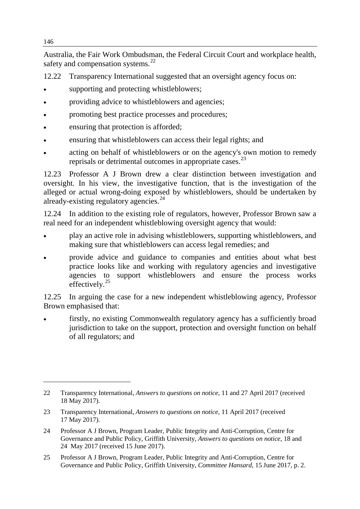Australia, the Fair Work Ombudsman, the Federal Circuit Court and workplace health, safety and compensation systems.<sup>[22](#page-5-0)</sup>

12.22 Transparency International suggested that an oversight agency focus on:

- supporting and protecting whistleblowers;
- providing advice to whistleblowers and agencies;
- promoting best practice processes and procedures;
- ensuring that protection is afforded;
- ensuring that whistleblowers can access their legal rights; and
- acting on behalf of whistleblowers or on the agency's own motion to remedy reprisals or detrimental outcomes in appropriate cases.<sup>[23](#page-5-1)</sup>

12.23 Professor A J Brown drew a clear distinction between investigation and oversight. In his view, the investigative function, that is the investigation of the alleged or actual wrong-doing exposed by whistleblowers, should be undertaken by already-existing regulatory agencies.<sup>[24](#page-5-2)</sup>

12.24 In addition to the existing role of regulators, however, Professor Brown saw a real need for an independent whistleblowing oversight agency that would:

- play an active role in advising whistleblowers, supporting whistleblowers, and making sure that whistleblowers can access legal remedies; and
- provide advice and guidance to companies and entities about what best practice looks like and working with regulatory agencies and investigative agencies to support whistleblowers and ensure the process works effectively.<sup>[25](#page-5-3)</sup>

12.25 In arguing the case for a new independent whistleblowing agency, Professor Brown emphasised that:

• firstly, no existing Commonwealth regulatory agency has a sufficiently broad jurisdiction to take on the support, protection and oversight function on behalf of all regulators; and

<span id="page-5-0"></span><sup>22</sup> Transparency International, *Answers to questions on notice,* 11 and 27 April 2017 (received 18 May 2017).

<span id="page-5-1"></span><sup>23</sup> Transparency International, *Answers to questions on notice,* 11 April 2017 (received 17 May 2017).

<span id="page-5-2"></span><sup>24</sup> Professor A J Brown, Program Leader, Public Integrity and Anti-Corruption, Centre for Governance and Public Policy, Griffith University, *Answers to questions on notice*, 18 and 24 May 2017 (received 15 June 2017).

<span id="page-5-3"></span><sup>25</sup> Professor A J Brown, Program Leader, Public Integrity and Anti-Corruption, Centre for Governance and Public Policy, Griffith University, *Committee Hansard*, 15 June 2017, p. 2.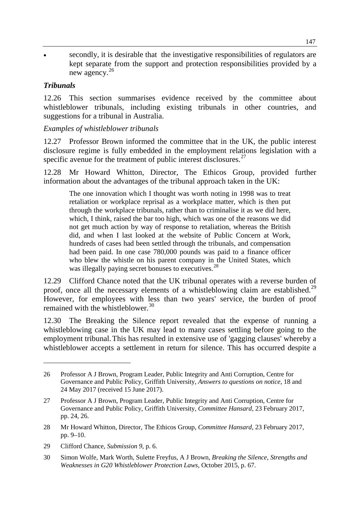• secondly, it is desirable that the investigative responsibilities of regulators are kept separate from the support and protection responsibilities provided by a new agency.[26](#page-6-0)

#### *Tribunals*

-

12.26 This section summarises evidence received by the committee about whistleblower tribunals, including existing tribunals in other countries, and suggestions for a tribunal in Australia.

#### *Examples of whistleblower tribunals*

12.27 Professor Brown informed the committee that in the UK, the public interest disclosure regime is fully embedded in the employment relations legislation with a specific avenue for the treatment of public interest disclosures.<sup>[27](#page-6-1)</sup>

12.28 Mr Howard Whitton, Director, The Ethicos Group, provided further information about the advantages of the tribunal approach taken in the UK:

The one innovation which I thought was worth noting in 1998 was to treat retaliation or workplace reprisal as a workplace matter, which is then put through the workplace tribunals, rather than to criminalise it as we did here, which, I think, raised the bar too high, which was one of the reasons we did not get much action by way of response to retaliation, whereas the British did, and when I last looked at the website of Public Concern at Work, hundreds of cases had been settled through the tribunals, and compensation had been paid. In one case 780,000 pounds was paid to a finance officer who blew the whistle on his parent company in the United States, which was illegally paying secret bonuses to executives.<sup>[28](#page-6-2)</sup>

12.29 Clifford Chance noted that the UK tribunal operates with a reverse burden of proof, once all the necessary elements of a whistleblowing claim are established.<sup>[29](#page-6-3)</sup> However, for employees with less than two years' service, the burden of proof remained with the whistleblower.<sup>[30](#page-6-4)</sup>

12.30 The Breaking the Silence report revealed that the expense of running a whistleblowing case in the UK may lead to many cases settling before going to the employment tribunal.This has resulted in extensive use of 'gagging clauses' whereby a whistleblower accepts a settlement in return for silence. This has occurred despite a

<span id="page-6-0"></span><sup>26</sup> Professor A J Brown, Program Leader, Public Integrity and Anti Corruption, Centre for Governance and Public Policy, Griffith University, *Answers to questions on notice*, 18 and 24 May 2017 (received 15 June 2017).

<span id="page-6-1"></span><sup>27</sup> Professor A J Brown, Program Leader, Public Integrity and Anti Corruption, Centre for Governance and Public Policy, Griffith University, *Committee Hansard,* 23 February 2017, pp. 24, 26.

<span id="page-6-2"></span><sup>28</sup> Mr Howard Whitton, Director, The Ethicos Group, *Committee Hansard,* 23 February 2017, pp. 9–10.

<span id="page-6-3"></span><sup>29</sup> Clifford Chance, *Submission 9*, p. 6.

<span id="page-6-4"></span><sup>30</sup> Simon Wolfe, Mark Worth, Sulette Freyfus, A J Brown, *Breaking the Silence, Strengths and Weaknesses in G20 Whistleblower Protection Laws*, October 2015, p. 67.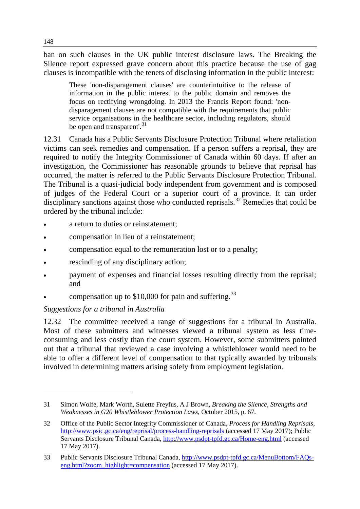ban on such clauses in the UK public interest disclosure laws. The Breaking the Silence report expressed grave concern about this practice because the use of gag clauses is incompatible with the tenets of disclosing information in the public interest:

These 'non-disparagement clauses' are counterintuitive to the release of information in the public interest to the public domain and removes the focus on rectifying wrongdoing. In 2013 the Francis Report found: 'nondisparagement clauses are not compatible with the requirements that public service organisations in the healthcare sector, including regulators, should be open and transparent'.<sup>[31](#page-7-0)</sup>

12.31 Canada has a Public Servants Disclosure Protection Tribunal where retaliation victims can seek remedies and compensation. If a person suffers a reprisal, they are required to notify the Integrity Commissioner of Canada within 60 days. If after an investigation, the Commissioner has reasonable grounds to believe that reprisal has occurred, the matter is referred to the Public Servants Disclosure Protection Tribunal. The Tribunal is a quasi-judicial body independent from government and is composed of judges of the Federal Court or a superior court of a province. It can order disciplinary sanctions against those who conducted reprisals.<sup>[32](#page-7-1)</sup> Remedies that could be ordered by the tribunal include:

- a return to duties or reinstatement;
- compensation in lieu of a reinstatement;
- compensation equal to the remuneration lost or to a penalty;
- rescinding of any disciplinary action;
- payment of expenses and financial losses resulting directly from the reprisal; and
- compensation up to  $$10,000$  for pain and suffering.<sup>[33](#page-7-2)</sup>

## *Suggestions for a tribunal in Australia*

12.32 The committee received a range of suggestions for a tribunal in Australia. Most of these submitters and witnesses viewed a tribunal system as less timeconsuming and less costly than the court system. However, some submitters pointed out that a tribunal that reviewed a case involving a whistleblower would need to be able to offer a different level of compensation to that typically awarded by tribunals involved in determining matters arising solely from employment legislation.

<span id="page-7-0"></span><sup>31</sup> Simon Wolfe, Mark Worth, Sulette Freyfus, A J Brown, *Breaking the Silence, Strengths and Weaknesses in G20 Whistleblower Protection Laws*, October 2015, p. 67.

<span id="page-7-1"></span><sup>32</sup> Office of the Public Sector Integrity Commissioner of Canada, *Process for Handling Reprisals,*  <http://www.psic.gc.ca/eng/reprisal/process-handling-reprisals> (accessed 17 May 2017); Public Servants Disclosure Tribunal Canada,<http://www.psdpt-tpfd.gc.ca/Home-eng.html> (accessed 17 May 2017).

<span id="page-7-2"></span><sup>33</sup> Public Servants Disclosure Tribunal Canada, [http://www.psdpt-tpfd.gc.ca/MenuBottom/FAQs](http://www.psdpt-tpfd.gc.ca/MenuBottom/FAQs-eng.html?zoom_highlight=compensation)[eng.html?zoom\\_highlight=compensation](http://www.psdpt-tpfd.gc.ca/MenuBottom/FAQs-eng.html?zoom_highlight=compensation) (accessed 17 May 2017).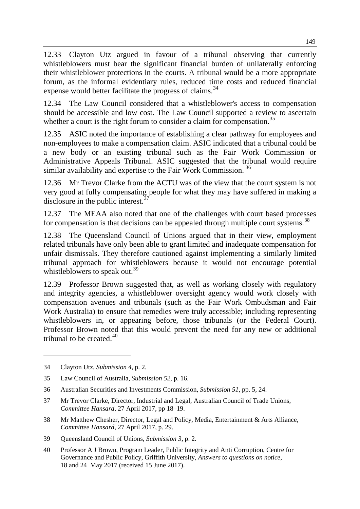12.33 Clayton Utz argued in favour of a tribunal observing that currently whistleblowers must bear the significant financial burden of unilaterally enforcing their whistleblower protections in the courts. A tribunal would be a more appropriate forum, as the informal evidentiary rules, reduced time costs and reduced financial expense would better facilitate the progress of claims.<sup>[34](#page-8-0)</sup>

12.34 The Law Council considered that a whistleblower's access to compensation should be accessible and low cost. The Law Council supported a review to ascertain whether a court is the right forum to consider a claim for compensation.<sup>[35](#page-8-1)</sup>

12.35 ASIC noted the importance of establishing a clear pathway for employees and non-employees to make a compensation claim. ASIC indicated that a tribunal could be a new body or an existing tribunal such as the Fair Work Commission or Administrative Appeals Tribunal. ASIC suggested that the tribunal would require similar availability and expertise to the Fair Work Commission.<sup>[36](#page-8-2)</sup>

12.36 Mr Trevor Clarke from the ACTU was of the view that the court system is not very good at fully compensating people for what they may have suffered in making a disclosure in the public interest. $\frac{3}{5}$ 

12.37 The MEAA also noted that one of the challenges with court based processes for compensation is that decisions can be appealed through multiple court systems.<sup>[38](#page-8-4)</sup>

12.38 The Queensland Council of Unions argued that in their view, employment related tribunals have only been able to grant limited and inadequate compensation for unfair dismissals. They therefore cautioned against implementing a similarly limited tribunal approach for whistleblowers because it would not encourage potential whistleblowers to speak out.<sup>[39](#page-8-5)</sup>

12.39 Professor Brown suggested that, as well as working closely with regulatory and integrity agencies, a whistleblower oversight agency would work closely with compensation avenues and tribunals (such as the Fair Work Ombudsman and Fair Work Australia) to ensure that remedies were truly accessible; including representing whistleblowers in, or appearing before, those tribunals (or the Federal Court). Professor Brown noted that this would prevent the need for any new or additional tribunal to be created  $40$ 

- <span id="page-8-2"></span>36 Australian Securities and Investments Commission, *Submission 51*, pp. 5, 24.
- <span id="page-8-3"></span>37 Mr Trevor Clarke, Director, Industrial and Legal, Australian Council of Trade Unions, *Committee Hansard*, 27 April 2017, pp 18–19.
- <span id="page-8-4"></span>38 Mr Matthew Chesher, Director, Legal and Policy, Media, Entertainment & Arts Alliance, *Committee Hansard,* 27 April 2017, p. 29.
- <span id="page-8-5"></span>39 Queensland Council of Unions, *Submission 3,* p. 2.
- <span id="page-8-6"></span>40 Professor A J Brown, Program Leader, Public Integrity and Anti Corruption, Centre for Governance and Public Policy, Griffith University, *Answers to questions on notice*, 18 and 24 May 2017 (received 15 June 2017).

<span id="page-8-0"></span><sup>34</sup> Clayton Utz, *Submission 4*, p. 2.

<span id="page-8-1"></span><sup>35</sup> Law Council of Australia, *Submission 52*, p. 16.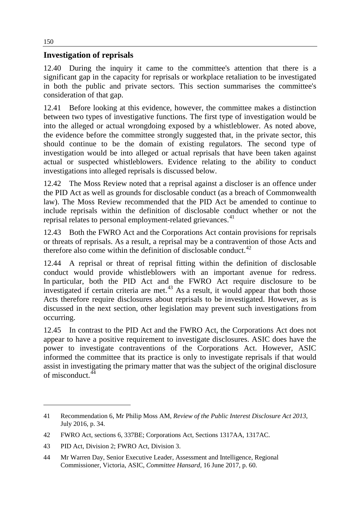## **Investigation of reprisals**

12.40 During the inquiry it came to the committee's attention that there is a significant gap in the capacity for reprisals or workplace retaliation to be investigated in both the public and private sectors. This section summarises the committee's consideration of that gap.

12.41 Before looking at this evidence, however, the committee makes a distinction between two types of investigative functions. The first type of investigation would be into the alleged or actual wrongdoing exposed by a whistleblower. As noted above, the evidence before the committee strongly suggested that, in the private sector, this should continue to be the domain of existing regulators. The second type of investigation would be into alleged or actual reprisals that have been taken against actual or suspected whistleblowers. Evidence relating to the ability to conduct investigations into alleged reprisals is discussed below.

12.42 The Moss Review noted that a reprisal against a discloser is an offence under the PID Act as well as grounds for disclosable conduct (as a breach of Commonwealth law). The Moss Review recommended that the PID Act be amended to continue to include reprisals within the definition of disclosable conduct whether or not the reprisal relates to personal employment-related grievances.<sup>[41](#page-9-0)</sup>

12.43 Both the FWRO Act and the Corporations Act contain provisions for reprisals or threats of reprisals. As a result, a reprisal may be a contravention of those Acts and therefore also come within the definition of disclosable conduct.<sup>[42](#page-9-1)</sup>

12.44 A reprisal or threat of reprisal fitting within the definition of disclosable conduct would provide whistleblowers with an important avenue for redress. In particular, both the PID Act and the FWRO Act require disclosure to be investigated if certain criteria are met.<sup>[43](#page-9-2)</sup> As a result, it would appear that both those Acts therefore require disclosures about reprisals to be investigated. However, as is discussed in the next section, other legislation may prevent such investigations from occurring.

12.45 In contrast to the PID Act and the FWRO Act, the Corporations Act does not appear to have a positive requirement to investigate disclosures. ASIC does have the power to investigate contraventions of the Corporations Act. However, ASIC informed the committee that its practice is only to investigate reprisals if that would assist in investigating the primary matter that was the subject of the original disclosure of misconduct.[44](#page-9-3)

<span id="page-9-0"></span><sup>41</sup> Recommendation 6, Mr Philip Moss AM, *Review of the Public Interest Disclosure Act 2013*, July 2016, p. 34.

<span id="page-9-1"></span><sup>42</sup> FWRO Act, sections 6, 337BE; Corporations Act, Sections 1317AA, 1317AC.

<span id="page-9-2"></span><sup>43</sup> PID Act, Division 2; FWRO Act, Division 3.

<span id="page-9-3"></span><sup>44</sup> Mr Warren Day, Senior Executive Leader, Assessment and Intelligence, Regional Commissioner, Victoria, ASIC, *Committee Hansard*, 16 June 2017, p. 60.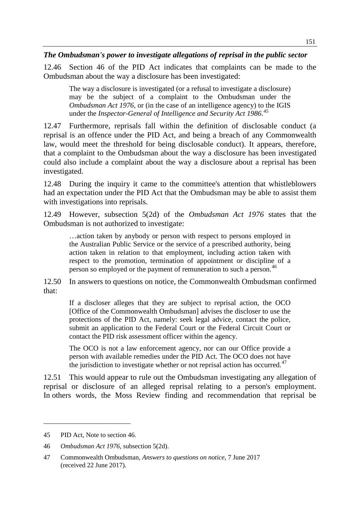*The Ombudsman's power to investigate allegations of reprisal in the public sector*

12.46 Section 46 of the PID Act indicates that complaints can be made to the Ombudsman about the way a disclosure has been investigated:

The way a disclosure is investigated (or a refusal to investigate a disclosure) may be the subject of a complaint to the Ombudsman under the *Ombudsman Act 1976*, or (in the case of an intelligence agency) to the IGIS under the *Inspector-General of Intelligence and Security Act 1986*. [45](#page-10-0)

12.47 Furthermore, reprisals fall within the definition of disclosable conduct (a reprisal is an offence under the PID Act, and being a breach of any Commonwealth law, would meet the threshold for being disclosable conduct). It appears, therefore, that a complaint to the Ombudsman about the way a disclosure has been investigated could also include a complaint about the way a disclosure about a reprisal has been investigated.

12.48 During the inquiry it came to the committee's attention that whistleblowers had an expectation under the PID Act that the Ombudsman may be able to assist them with investigations into reprisals.

12.49 However, subsection 5(2d) of the *Ombudsman Act 1976* states that the Ombudsman is not authorized to investigate:

…action taken by anybody or person with respect to persons employed in the Australian Public Service or the service of a prescribed authority, being action taken in relation to that employment, including action taken with respect to the promotion, termination of appointment or discipline of a person so employed or the payment of remuneration to such a person.<sup>[46](#page-10-1)</sup>

12.50 In answers to questions on notice, the Commonwealth Ombudsman confirmed that:

If a discloser alleges that they are subject to reprisal action, the OCO [Office of the Commonwealth Ombudsman] advises the discloser to use the protections of the PID Act, namely: seek legal advice, contact the police, submit an application to the Federal Court or the Federal Circuit Court or contact the PID risk assessment officer within the agency.

The OCO is not a law enforcement agency, nor can our Office provide a person with available remedies under the PID Act. The OCO does not have the jurisdiction to investigate whether or not reprisal action has occurred.<sup> $47$ </sup>

12.51 This would appear to rule out the Ombudsman investigating any allegation of reprisal or disclosure of an alleged reprisal relating to a person's employment. In others words, the Moss Review finding and recommendation that reprisal be

<span id="page-10-0"></span><sup>45</sup> PID Act, Note to section 46.

<span id="page-10-1"></span><sup>46</sup> *Ombudsman Act 1976,* subsection 5(2d).

<span id="page-10-2"></span><sup>47</sup> Commonwealth Ombudsman, *Answers to questions on notice*, 7 June 2017 (received 22 June 2017).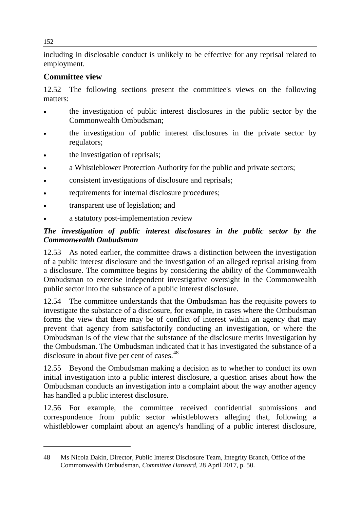including in disclosable conduct is unlikely to be effective for any reprisal related to employment.

## **Committee view**

12.52 The following sections present the committee's views on the following matters:

- the investigation of public interest disclosures in the public sector by the Commonwealth Ombudsman;
- the investigation of public interest disclosures in the private sector by regulators;
- the investigation of reprisals;
- a Whistleblower Protection Authority for the public and private sectors;
- consistent investigations of disclosure and reprisals;
- requirements for internal disclosure procedures;
- transparent use of legislation; and
- a statutory post-implementation review

## *The investigation of public interest disclosures in the public sector by the Commonwealth Ombudsman*

12.53 As noted earlier, the committee draws a distinction between the investigation of a public interest disclosure and the investigation of an alleged reprisal arising from a disclosure. The committee begins by considering the ability of the Commonwealth Ombudsman to exercise independent investigative oversight in the Commonwealth public sector into the substance of a public interest disclosure.

12.54 The committee understands that the Ombudsman has the requisite powers to investigate the substance of a disclosure, for example, in cases where the Ombudsman forms the view that there may be of conflict of interest within an agency that may prevent that agency from satisfactorily conducting an investigation, or where the Ombudsman is of the view that the substance of the disclosure merits investigation by the Ombudsman. The Ombudsman indicated that it has investigated the substance of a disclosure in about five per cent of cases.<sup>[48](#page-11-0)</sup>

12.55 Beyond the Ombudsman making a decision as to whether to conduct its own initial investigation into a public interest disclosure, a question arises about how the Ombudsman conducts an investigation into a complaint about the way another agency has handled a public interest disclosure.

12.56 For example, the committee received confidential submissions and correspondence from public sector whistleblowers alleging that, following a whistleblower complaint about an agency's handling of a public interest disclosure,

<span id="page-11-0"></span><sup>48</sup> Ms Nicola Dakin, Director, Public Interest Disclosure Team, Integrity Branch, Office of the Commonwealth Ombudsman, *Committee Hansard*, 28 April 2017, p. 50.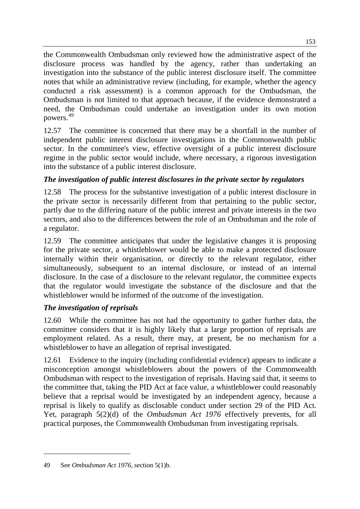the Commonwealth Ombudsman only reviewed how the administrative aspect of the disclosure process was handled by the agency, rather than undertaking an investigation into the substance of the public interest disclosure itself. The committee notes that while an administrative review (including, for example, whether the agency conducted a risk assessment) is a common approach for the Ombudsman, the Ombudsman is not limited to that approach because, if the evidence demonstrated a need, the Ombudsman could undertake an investigation under its own motion powers.[49](#page-12-0)

12.57 The committee is concerned that there may be a shortfall in the number of independent public interest disclosure investigations in the Commonwealth public sector. In the committee's view, effective oversight of a public interest disclosure regime in the public sector would include, where necessary, a rigorous investigation into the substance of a public interest disclosure.

## *The investigation of public interest disclosures in the private sector by regulators*

12.58 The process for the substantive investigation of a public interest disclosure in the private sector is necessarily different from that pertaining to the public sector, partly due to the differing nature of the public interest and private interests in the two sectors, and also to the differences between the role of an Ombudsman and the role of a regulator.

12.59 The committee anticipates that under the legislative changes it is proposing for the private sector, a whistleblower would be able to make a protected disclosure internally within their organisation, or directly to the relevant regulator, either simultaneously, subsequent to an internal disclosure, or instead of an internal disclosure. In the case of a disclosure to the relevant regulator, the committee expects that the regulator would investigate the substance of the disclosure and that the whistleblower would be informed of the outcome of the investigation.

## *The investigation of reprisals*

12.60 While the committee has not had the opportunity to gather further data, the committee considers that it is highly likely that a large proportion of reprisals are employment related. As a result, there may, at present, be no mechanism for a whistleblower to have an allegation of reprisal investigated.

12.61 Evidence to the inquiry (including confidential evidence) appears to indicate a misconception amongst whistleblowers about the powers of the Commonwealth Ombudsman with respect to the investigation of reprisals. Having said that, it seems to the committee that, taking the PID Act at face value, a whistleblower could reasonably believe that a reprisal would be investigated by an independent agency, because a reprisal is likely to qualify as disclosable conduct under section 29 of the PID Act. Yet, paragraph 5(2)(d) of the *Ombudsman Act 1976* effectively prevents, for all practical purposes, the Commonwealth Ombudsman from investigating reprisals.

<span id="page-12-0"></span><sup>49</sup> See *Ombudsman Act 1976*, section 5(1)b.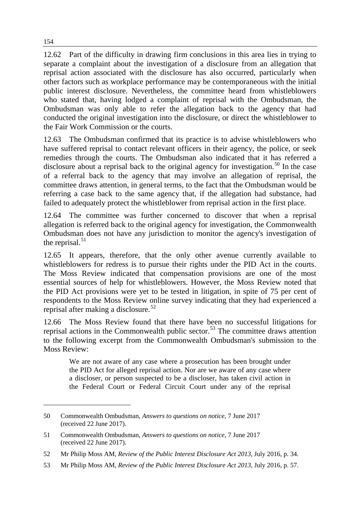12.62 Part of the difficulty in drawing firm conclusions in this area lies in trying to separate a complaint about the investigation of a disclosure from an allegation that reprisal action associated with the disclosure has also occurred, particularly when other factors such as workplace performance may be contemporaneous with the initial public interest disclosure. Nevertheless, the committee heard from whistleblowers who stated that, having lodged a complaint of reprisal with the Ombudsman, the Ombudsman was only able to refer the allegation back to the agency that had conducted the original investigation into the disclosure, or direct the whistleblower to the Fair Work Commission or the courts.

12.63 The Ombudsman confirmed that its practice is to advise whistleblowers who have suffered reprisal to contact relevant officers in their agency, the police, or seek remedies through the courts. The Ombudsman also indicated that it has referred a disclosure about a reprisal back to the original agency for investigation.<sup>[50](#page-13-0)</sup> In the case of a referral back to the agency that may involve an allegation of reprisal, the committee draws attention, in general terms, to the fact that the Ombudsman would be referring a case back to the same agency that, if the allegation had substance, had failed to adequately protect the whistleblower from reprisal action in the first place.

12.64 The committee was further concerned to discover that when a reprisal allegation is referred back to the original agency for investigation, the Commonwealth Ombudsman does not have any jurisdiction to monitor the agency's investigation of the reprisal. $51$ 

12.65 It appears, therefore, that the only other avenue currently available to whistleblowers for redress is to pursue their rights under the PID Act in the courts. The Moss Review indicated that compensation provisions are one of the most essential sources of help for whistleblowers. However, the Moss Review noted that the PID Act provisions were yet to be tested in litigation, in spite of 75 per cent of respondents to the Moss Review online survey indicating that they had experienced a reprisal after making a disclosure.<sup>[52](#page-13-2)</sup>

12.66 The Moss Review found that there have been no successful litigations for reprisal actions in the Commonwealth public sector.<sup>[53](#page-13-3)</sup> The committee draws attention to the following excerpt from the Commonwealth Ombudsman's submission to the Moss Review:

We are not aware of any case where a prosecution has been brought under the PID Act for alleged reprisal action. Nor are we aware of any case where a discloser, or person suspected to be a discloser, has taken civil action in the Federal Court or Federal Circuit Court under any of the reprisal

<span id="page-13-0"></span><sup>50</sup> Commonwealth Ombudsman, *Answers to questions on notice*, 7 June 2017 (received 22 June 2017).

<span id="page-13-1"></span><sup>51</sup> Commonwealth Ombudsman, *Answers to questions on notice*, 7 June 2017 (received 22 June 2017).

<span id="page-13-2"></span><sup>52</sup> Mr Philip Moss AM, *Review of the Public Interest Disclosure Act 2013*, July 2016, p. 34.

<span id="page-13-3"></span><sup>53</sup> Mr Philip Moss AM, *Review of the Public Interest Disclosure Act 2013*, July 2016, p. 57.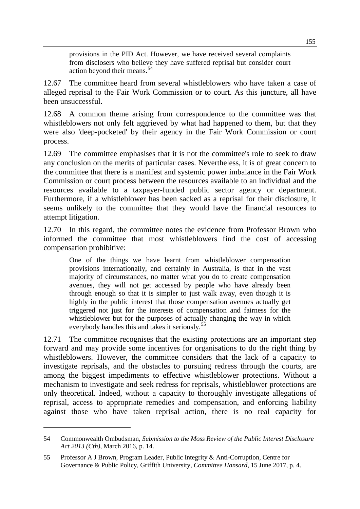provisions in the PID Act. However, we have received several complaints from disclosers who believe they have suffered reprisal but consider court action beyond their means. [54](#page-14-0)

12.67 The committee heard from several whistleblowers who have taken a case of alleged reprisal to the Fair Work Commission or to court. As this juncture, all have been unsuccessful.

12.68 A common theme arising from correspondence to the committee was that whistleblowers not only felt aggrieved by what had happened to them, but that they were also 'deep-pocketed' by their agency in the Fair Work Commission or court process.

12.69 The committee emphasises that it is not the committee's role to seek to draw any conclusion on the merits of particular cases. Nevertheless, it is of great concern to the committee that there is a manifest and systemic power imbalance in the Fair Work Commission or court process between the resources available to an individual and the resources available to a taxpayer-funded public sector agency or department. Furthermore, if a whistleblower has been sacked as a reprisal for their disclosure, it seems unlikely to the committee that they would have the financial resources to attempt litigation.

12.70 In this regard, the committee notes the evidence from Professor Brown who informed the committee that most whistleblowers find the cost of accessing compensation prohibitive:

One of the things we have learnt from whistleblower compensation provisions internationally, and certainly in Australia, is that in the vast majority of circumstances, no matter what you do to create compensation avenues, they will not get accessed by people who have already been through enough so that it is simpler to just walk away, even though it is highly in the public interest that those compensation avenues actually get triggered not just for the interests of compensation and fairness for the whistleblower but for the purposes of actually changing the way in which everybody handles this and takes it seriously.<sup>[55](#page-14-1)</sup>

12.71 The committee recognises that the existing protections are an important step forward and may provide some incentives for organisations to do the right thing by whistleblowers. However, the committee considers that the lack of a capacity to investigate reprisals, and the obstacles to pursuing redress through the courts, are among the biggest impediments to effective whistleblower protections. Without a mechanism to investigate and seek redress for reprisals, whistleblower protections are only theoretical. Indeed, without a capacity to thoroughly investigate allegations of reprisal, access to appropriate remedies and compensation, and enforcing liability against those who have taken reprisal action, there is no real capacity for

<span id="page-14-0"></span><sup>54</sup> Commonwealth Ombudsman, *Submission to the Moss Review of the Public Interest Disclosure Act 2013 (Cth)*, March 2016, p. 14.

<span id="page-14-1"></span><sup>55</sup> Professor A J Brown, Program Leader, Public Integrity & Anti-Corruption, Centre for Governance & Public Policy, Griffith University, *Committee Hansard*, 15 June 2017, p. 4.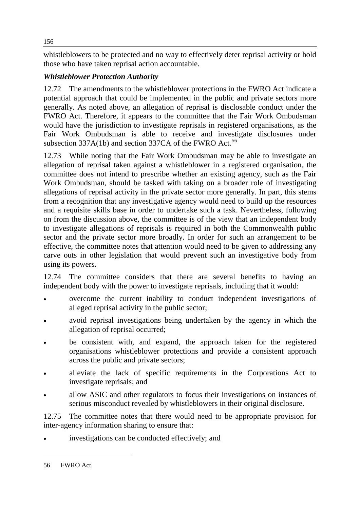whistleblowers to be protected and no way to effectively deter reprisal activity or hold those who have taken reprisal action accountable.

## *Whistleblower Protection Authority*

12.72 The amendments to the whistleblower protections in the FWRO Act indicate a potential approach that could be implemented in the public and private sectors more generally. As noted above, an allegation of reprisal is disclosable conduct under the FWRO Act. Therefore, it appears to the committee that the Fair Work Ombudsman would have the jurisdiction to investigate reprisals in registered organisations, as the Fair Work Ombudsman is able to receive and investigate disclosures under subsection  $337A(1b)$  and section  $337CA$  of the FWRO Act.<sup>[56](#page-15-0)</sup>

12.73 While noting that the Fair Work Ombudsman may be able to investigate an allegation of reprisal taken against a whistleblower in a registered organisation, the committee does not intend to prescribe whether an existing agency, such as the Fair Work Ombudsman, should be tasked with taking on a broader role of investigating allegations of reprisal activity in the private sector more generally. In part, this stems from a recognition that any investigative agency would need to build up the resources and a requisite skills base in order to undertake such a task. Nevertheless, following on from the discussion above, the committee is of the view that an independent body to investigate allegations of reprisals is required in both the Commonwealth public sector and the private sector more broadly. In order for such an arrangement to be effective, the committee notes that attention would need to be given to addressing any carve outs in other legislation that would prevent such an investigative body from using its powers.

12.74 The committee considers that there are several benefits to having an independent body with the power to investigate reprisals, including that it would:

- overcome the current inability to conduct independent investigations of alleged reprisal activity in the public sector;
- avoid reprisal investigations being undertaken by the agency in which the allegation of reprisal occurred;
- be consistent with, and expand, the approach taken for the registered organisations whistleblower protections and provide a consistent approach across the public and private sectors;
- alleviate the lack of specific requirements in the Corporations Act to investigate reprisals; and
- allow ASIC and other regulators to focus their investigations on instances of serious misconduct revealed by whistleblowers in their original disclosure.

12.75 The committee notes that there would need to be appropriate provision for inter-agency information sharing to ensure that:

<span id="page-15-0"></span>investigations can be conducted effectively; and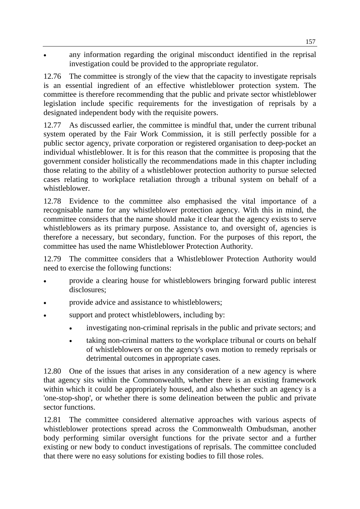any information regarding the original misconduct identified in the reprisal investigation could be provided to the appropriate regulator.

12.76 The committee is strongly of the view that the capacity to investigate reprisals is an essential ingredient of an effective whistleblower protection system. The committee is therefore recommending that the public and private sector whistleblower legislation include specific requirements for the investigation of reprisals by a designated independent body with the requisite powers.

12.77 As discussed earlier, the committee is mindful that, under the current tribunal system operated by the Fair Work Commission, it is still perfectly possible for a public sector agency, private corporation or registered organisation to deep-pocket an individual whistleblower. It is for this reason that the committee is proposing that the government consider holistically the recommendations made in this chapter including those relating to the ability of a whistleblower protection authority to pursue selected cases relating to workplace retaliation through a tribunal system on behalf of a whistleblower.

12.78 Evidence to the committee also emphasised the vital importance of a recognisable name for any whistleblower protection agency. With this in mind, the committee considers that the name should make it clear that the agency exists to serve whistleblowers as its primary purpose. Assistance to, and oversight of, agencies is therefore a necessary, but secondary, function. For the purposes of this report, the committee has used the name Whistleblower Protection Authority.

12.79 The committee considers that a Whistleblower Protection Authority would need to exercise the following functions:

- provide a clearing house for whistleblowers bringing forward public interest disclosures;
- provide advice and assistance to whistleblowers;
- support and protect whistleblowers, including by:
	- investigating non-criminal reprisals in the public and private sectors; and
	- taking non-criminal matters to the workplace tribunal or courts on behalf of whistleblowers or on the agency's own motion to remedy reprisals or detrimental outcomes in appropriate cases.

12.80 One of the issues that arises in any consideration of a new agency is where that agency sits within the Commonwealth, whether there is an existing framework within which it could be appropriately housed, and also whether such an agency is a 'one-stop-shop', or whether there is some delineation between the public and private sector functions.

12.81 The committee considered alternative approaches with various aspects of whistleblower protections spread across the Commonwealth Ombudsman, another body performing similar oversight functions for the private sector and a further existing or new body to conduct investigations of reprisals. The committee concluded that there were no easy solutions for existing bodies to fill those roles.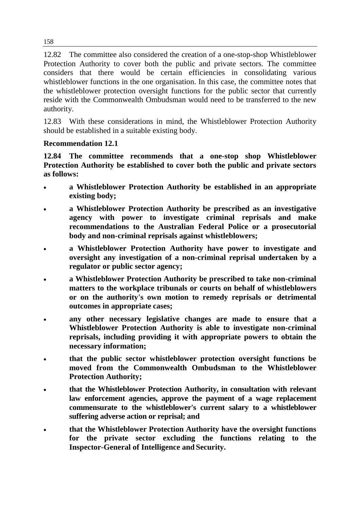12.82 The committee also considered the creation of a one-stop-shop Whistleblower Protection Authority to cover both the public and private sectors. The committee considers that there would be certain efficiencies in consolidating various whistleblower functions in the one organisation. In this case, the committee notes that the whistleblower protection oversight functions for the public sector that currently reside with the Commonwealth Ombudsman would need to be transferred to the new authority.

12.83 With these considerations in mind, the Whistleblower Protection Authority should be established in a suitable existing body.

## **Recommendation 12.1**

**12.84 The committee recommends that a one-stop shop Whistleblower Protection Authority be established to cover both the public and private sectors as follows:**

- **a Whistleblower Protection Authority be established in an appropriate existing body;**
- **a Whistleblower Protection Authority be prescribed as an investigative agency with power to investigate criminal reprisals and make recommendations to the Australian Federal Police or a prosecutorial body and non-criminal reprisals against whistleblowers;**
- **a Whistleblower Protection Authority have power to investigate and oversight any investigation of a non-criminal reprisal undertaken by a regulator or public sector agency;**
- **a Whistleblower Protection Authority be prescribed to take non-criminal matters to the workplace tribunals or courts on behalf of whistleblowers or on the authority's own motion to remedy reprisals or detrimental outcomes in appropriate cases;**
- **any other necessary legislative changes are made to ensure that a Whistleblower Protection Authority is able to investigate non-criminal reprisals, including providing it with appropriate powers to obtain the necessary information;**
- **that the public sector whistleblower protection oversight functions be moved from the Commonwealth Ombudsman to the Whistleblower Protection Authority;**
- **that the Whistleblower Protection Authority, in consultation with relevant law enforcement agencies, approve the payment of a wage replacement commensurate to the whistleblower's current salary to a whistleblower suffering adverse action or reprisal; and**
- **that the Whistleblower Protection Authority have the oversight functions for the private sector excluding the functions relating to the Inspector-General of Intelligence and Security.**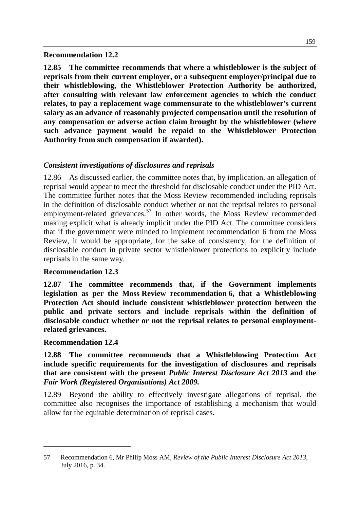#### **Recommendation 12.2**

**12.85 The committee recommends that where a whistleblower is the subject of reprisals from their current employer, or a subsequent employer/principal due to their whistleblowing, the Whistleblower Protection Authority be authorized, after consulting with relevant law enforcement agencies to which the conduct relates, to pay a replacement wage commensurate to the whistleblower's current salary as an advance of reasonably projected compensation until the resolution of any compensation or adverse action claim brought by the whistleblower (where such advance payment would be repaid to the Whistleblower Protection Authority from such compensation if awarded).**

## *Consistent investigations of disclosures and reprisals*

12.86 As discussed earlier, the committee notes that, by implication, an allegation of reprisal would appear to meet the threshold for disclosable conduct under the PID Act. The committee further notes that the Moss Review recommended including reprisals in the definition of disclosable conduct whether or not the reprisal relates to personal employment-related grievances.<sup>[57](#page-18-0)</sup> In other words, the Moss Review recommended making explicit what is already implicit under the PID Act. The committee considers that if the government were minded to implement recommendation 6 from the Moss Review, it would be appropriate, for the sake of consistency, for the definition of disclosable conduct in private sector whistleblower protections to explicitly include reprisals in the same way.

#### **Recommendation 12.3**

**12.87 The committee recommends that, if the Government implements legislation as per the Moss Review recommendation 6, that a Whistleblowing Protection Act should include consistent whistleblower protection between the public and private sectors and include reprisals within the definition of disclosable conduct whether or not the reprisal relates to personal employmentrelated grievances.**

#### **Recommendation 12.4**

-

**12.88 The committee recommends that a Whistleblowing Protection Act include specific requirements for the investigation of disclosures and reprisals that are consistent with the present** *Public Interest Disclosure Act 2013* **and the**  *Fair Work (Registered Organisations) Act 2009.*

12.89 Beyond the ability to effectively investigate allegations of reprisal, the committee also recognises the importance of establishing a mechanism that would allow for the equitable determination of reprisal cases.

<span id="page-18-0"></span><sup>57</sup> Recommendation 6, Mr Philip Moss AM, *Review of the Public Interest Disclosure Act 2013*, July 2016, p. 34.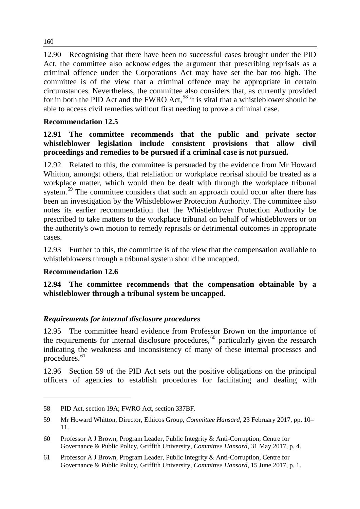12.90 Recognising that there have been no successful cases brought under the PID Act, the committee also acknowledges the argument that prescribing reprisals as a criminal offence under the Corporations Act may have set the bar too high. The committee is of the view that a criminal offence may be appropriate in certain circumstances. Nevertheless, the committee also considers that, as currently provided for in both the PID Act and the FWRO Act,<sup>[58](#page-19-0)</sup> it is vital that a whistleblower should be able to access civil remedies without first needing to prove a criminal case.

## **Recommendation 12.5**

#### **12.91 The committee recommends that the public and private sector whistleblower legislation include consistent provisions that allow civil proceedings and remedies to be pursued if a criminal case is not pursued.**

12.92 Related to this, the committee is persuaded by the evidence from Mr Howard Whitton, amongst others, that retaliation or workplace reprisal should be treated as a workplace matter, which would then be dealt with through the workplace tribunal system.<sup>[59](#page-19-1)</sup> The committee considers that such an approach could occur after there has been an investigation by the Whistleblower Protection Authority. The committee also notes its earlier recommendation that the Whistleblower Protection Authority be prescribed to take matters to the workplace tribunal on behalf of whistleblowers or on the authority's own motion to remedy reprisals or detrimental outcomes in appropriate cases.

12.93 Further to this, the committee is of the view that the compensation available to whistleblowers through a tribunal system should be uncapped.

#### **Recommendation 12.6**

-

**12.94 The committee recommends that the compensation obtainable by a whistleblower through a tribunal system be uncapped.**

#### *Requirements for internal disclosure procedures*

12.95 The committee heard evidence from Professor Brown on the importance of the requirements for internal disclosure procedures, [60](#page-19-2) particularly given the research indicating the weakness and inconsistency of many of these internal processes and procedures.<sup>[61](#page-19-3)</sup>

12.96 Section 59 of the PID Act sets out the positive obligations on the principal officers of agencies to establish procedures for facilitating and dealing with

<span id="page-19-0"></span><sup>58</sup> PID Act, section 19A; FWRO Act, section 337BF.

<span id="page-19-1"></span><sup>59</sup> Mr Howard Whitton, Director, Ethicos Group, *Committee Hansard*, 23 February 2017, pp. 10– 11.

<span id="page-19-2"></span><sup>60</sup> Professor A J Brown, Program Leader, Public Integrity & Anti-Corruption, Centre for Governance & Public Policy, Griffith University, *Committee Hansard*, 31 May 2017, p. 4.

<span id="page-19-3"></span><sup>61</sup> Professor A J Brown, Program Leader, Public Integrity & Anti-Corruption, Centre for Governance & Public Policy, Griffith University, *Committee Hansard*, 15 June 2017, p. 1.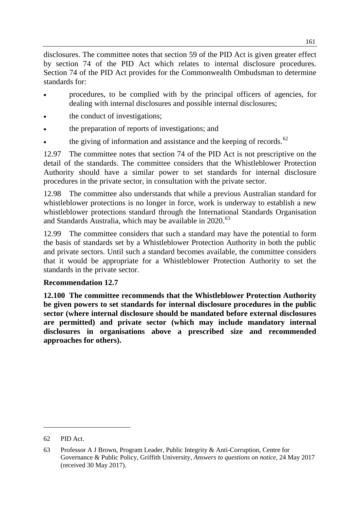disclosures. The committee notes that section 59 of the PID Act is given greater effect by section 74 of the PID Act which relates to internal disclosure procedures. Section 74 of the PID Act provides for the Commonwealth Ombudsman to determine standards for:

- procedures, to be complied with by the principal officers of agencies, for dealing with internal disclosures and possible internal disclosures;
- the conduct of investigations;
- the preparation of reports of investigations; and
- the giving of information and assistance and the keeping of records. $62$

12.97 The committee notes that section 74 of the PID Act is not prescriptive on the detail of the standards. The committee considers that the Whistleblower Protection Authority should have a similar power to set standards for internal disclosure procedures in the private sector, in consultation with the private sector.

12.98 The committee also understands that while a previous Australian standard for whistleblower protections is no longer in force, work is underway to establish a new whistleblower protections standard through the International Standards Organisation and Standards Australia, which may be available in 2020. [63](#page-20-1)

12.99 The committee considers that such a standard may have the potential to form the basis of standards set by a Whistleblower Protection Authority in both the public and private sectors. Until such a standard becomes available, the committee considers that it would be appropriate for a Whistleblower Protection Authority to set the standards in the private sector.

## **Recommendation 12.7**

**12.100 The committee recommends that the Whistleblower Protection Authority be given powers to set standards for internal disclosure procedures in the public sector (where internal disclosure should be mandated before external disclosures are permitted) and private sector (which may include mandatory internal disclosures in organisations above a prescribed size and recommended approaches for others).**

<span id="page-20-0"></span><sup>62</sup> PID Act.

<span id="page-20-1"></span><sup>63</sup> Professor A J Brown, Program Leader, Public Integrity & Anti-Corruption, Centre for Governance & Public Policy, Griffith University, *Answers to questions on notice*, 24 May 2017 (received 30 May 2017).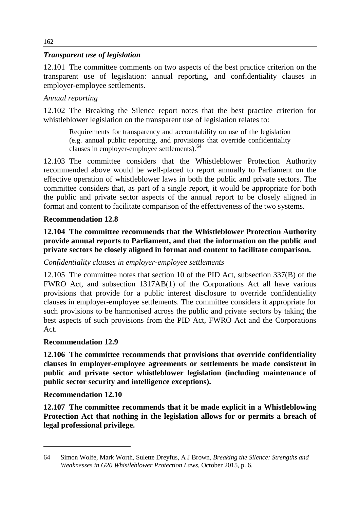## *Transparent use of legislation*

12.101 The committee comments on two aspects of the best practice criterion on the transparent use of legislation: annual reporting, and confidentiality clauses in employer-employee settlements.

#### *Annual reporting*

12.102 The Breaking the Silence report notes that the best practice criterion for whistleblower legislation on the transparent use of legislation relates to:

Requirements for transparency and accountability on use of the legislation (e.g. annual public reporting, and provisions that override confidentiality clauses in employer-employee settlements).<sup>[64](#page-21-0)</sup>

12.103 The committee considers that the Whistleblower Protection Authority recommended above would be well-placed to report annually to Parliament on the effective operation of whistleblower laws in both the public and private sectors. The committee considers that, as part of a single report, it would be appropriate for both the public and private sector aspects of the annual report to be closely aligned in format and content to facilitate comparison of the effectiveness of the two systems.

#### **Recommendation 12.8**

**12.104 The committee recommends that the Whistleblower Protection Authority provide annual reports to Parliament, and that the information on the public and private sectors be closely aligned in format and content to facilitate comparison.**

#### *Confidentiality clauses in employer-employee settlements*

12.105 The committee notes that section 10 of the PID Act, subsection 337(B) of the FWRO Act, and subsection 1317AB(1) of the Corporations Act all have various provisions that provide for a public interest disclosure to override confidentiality clauses in employer-employee settlements. The committee considers it appropriate for such provisions to be harmonised across the public and private sectors by taking the best aspects of such provisions from the PID Act, FWRO Act and the Corporations Act.

#### **Recommendation 12.9**

**12.106 The committee recommends that provisions that override confidentiality clauses in employer-employee agreements or settlements be made consistent in public and private sector whistleblower legislation (including maintenance of public sector security and intelligence exceptions).**

#### **Recommendation 12.10**

-

**12.107 The committee recommends that it be made explicit in a Whistleblowing Protection Act that nothing in the legislation allows for or permits a breach of legal professional privilege.**

<span id="page-21-0"></span><sup>64</sup> Simon Wolfe, Mark Worth, Sulette Dreyfus, A J Brown, *Breaking the Silence: Strengths and Weaknesses in G20 Whistleblower Protection Laws*, October 2015, p. 6.